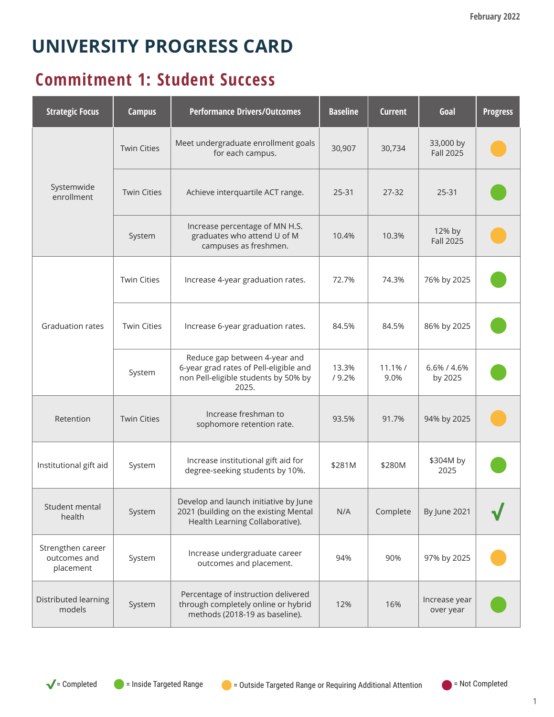# **UNIVERSITY PROGRESS CARD**

#### **Commitment 1: Student Success**

| <b>Strategic Focus</b>                         | <b>Campus</b>      | <b>Performance Drivers/Outcomes</b>                                                                                      | <b>Baseline</b> | <b>Current</b>     | Goal                          | <b>Progress</b> |
|------------------------------------------------|--------------------|--------------------------------------------------------------------------------------------------------------------------|-----------------|--------------------|-------------------------------|-----------------|
| Systemwide<br>enrollment                       | <b>Twin Cities</b> | Meet undergraduate enrollment goals<br>for each campus.                                                                  | 30,907          | 30,734             | 33,000 by<br><b>Fall 2025</b> |                 |
|                                                | <b>Twin Cities</b> | Achieve interquartile ACT range.                                                                                         | $25 - 31$       | $27 - 32$          | 25-31                         |                 |
|                                                | System             | Increase percentage of MN H.S.<br>graduates who attend U of M<br>campuses as freshmen.                                   | 10.4%           | 10.3%              | 12% by<br><b>Fall 2025</b>    |                 |
|                                                | <b>Twin Cities</b> | Increase 4-year graduation rates.                                                                                        | 72.7%           | 74.3%              | 76% by 2025                   |                 |
| Graduation rates                               | <b>Twin Cities</b> | Increase 6-year graduation rates.                                                                                        | 84.5%           | 84.5%              | 86% by 2025                   |                 |
|                                                | System             | Reduce gap between 4-year and<br>6-year grad rates of Pell-eligible and<br>non Pell-eligible students by 50% by<br>2025. | 13.3%<br>/9.2%  | $11.1\%$ /<br>9.0% | 6.6% / 4.6%<br>by 2025        |                 |
| Retention                                      | <b>Twin Cities</b> | Increase freshman to<br>sophomore retention rate.                                                                        | 93.5%           | 91.7%              | 94% by 2025                   |                 |
| Institutional gift aid                         | System             | Increase institutional gift aid for<br>degree-seeking students by 10%.                                                   | \$281M          | \$280M             | \$304M by<br>2025             |                 |
| Student mental<br>health                       | System             | Develop and launch initiative by June<br>2021 (building on the existing Mental<br>Health Learning Collaborative).        | N/A             | Complete           | By June 2021                  |                 |
| Strengthen career<br>outcomes and<br>placement | System             | Increase undergraduate career<br>outcomes and placement.                                                                 | 94%             | 90%                | 97% by 2025                   |                 |
| Distributed learning<br>models                 | System             | Percentage of instruction delivered<br>through completely online or hybrid<br>methods (2018-19 as baseline).             | 12%             | 16%                | Increase year<br>over year    |                 |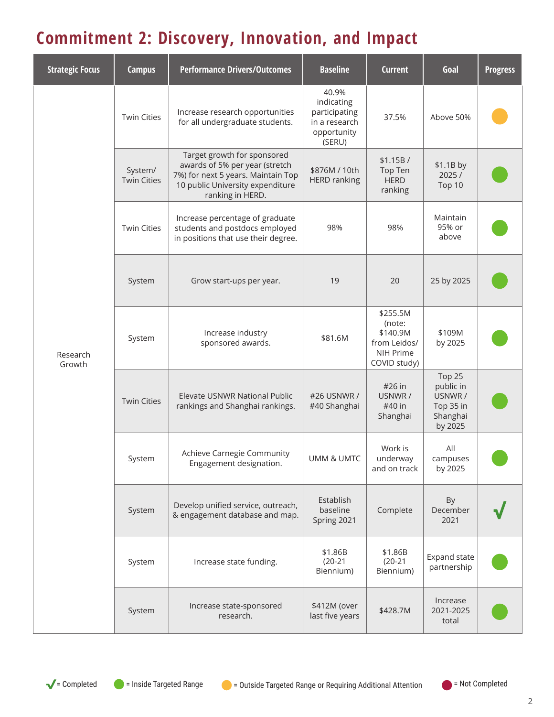## **Commitment 2: Discovery, Innovation, and Impact**

| <b>Strategic Focus</b> | <b>Campus</b>                 | <b>Performance Drivers/Outcomes</b>                                                                                                                         | <b>Baseline</b>                                                                | <b>Current</b>                                                              | Goal                                                               | <b>Progress</b> |
|------------------------|-------------------------------|-------------------------------------------------------------------------------------------------------------------------------------------------------------|--------------------------------------------------------------------------------|-----------------------------------------------------------------------------|--------------------------------------------------------------------|-----------------|
|                        | <b>Twin Cities</b>            | Increase research opportunities<br>for all undergraduate students.                                                                                          | 40.9%<br>indicating<br>participating<br>in a research<br>opportunity<br>(SERU) | 37.5%                                                                       | Above 50%                                                          |                 |
|                        | System/<br><b>Twin Cities</b> | Target growth for sponsored<br>awards of 5% per year (stretch<br>7%) for next 5 years. Maintain Top<br>10 public University expenditure<br>ranking in HERD. | \$876M / 10th<br><b>HERD ranking</b>                                           | \$1.15B/<br>Top Ten<br><b>HERD</b><br>ranking                               | \$1.1B by<br>2025/<br>Top 10                                       |                 |
|                        | <b>Twin Cities</b>            | Increase percentage of graduate<br>students and postdocs employed<br>in positions that use their degree.                                                    | 98%                                                                            | 98%                                                                         | Maintain<br>95% or<br>above                                        |                 |
| Research<br>Growth     | System                        | Grow start-ups per year.                                                                                                                                    | 19                                                                             | 20                                                                          | 25 by 2025                                                         |                 |
|                        | System                        | Increase industry<br>sponsored awards.                                                                                                                      | \$81.6M                                                                        | \$255.5M<br>(note:<br>\$140.9M<br>from Leidos/<br>NIH Prime<br>COVID study) | \$109M<br>by 2025                                                  |                 |
|                        | <b>Twin Cities</b>            | Elevate USNWR National Public<br>rankings and Shanghai rankings.                                                                                            | #26 USNWR /<br>#40 Shanghai                                                    | #26 in<br>USNWR /<br>#40 in<br>Shanghai                                     | Top 25<br>public in<br>USNWR /<br>Top 35 in<br>Shanghai<br>by 2025 |                 |
|                        | System                        | Achieve Carnegie Community<br>Engagement designation.                                                                                                       | UMM & UMTC                                                                     | Work is<br>underway<br>and on track                                         | All<br>campuses<br>by 2025                                         |                 |
|                        | System                        | Develop unified service, outreach,<br>& engagement database and map.                                                                                        | Establish<br>baseline<br>Spring 2021                                           | Complete                                                                    | By<br>December<br>2021                                             |                 |
|                        | System                        | Increase state funding.                                                                                                                                     | \$1.86B<br>$(20-21)$<br>Biennium)                                              | \$1.86B<br>$(20-21)$<br>Biennium)                                           | Expand state<br>partnership                                        |                 |
|                        | System                        | Increase state-sponsored<br>research.                                                                                                                       | \$412M (over<br>last five years                                                | \$428.7M                                                                    | Increase<br>2021-2025<br>total                                     |                 |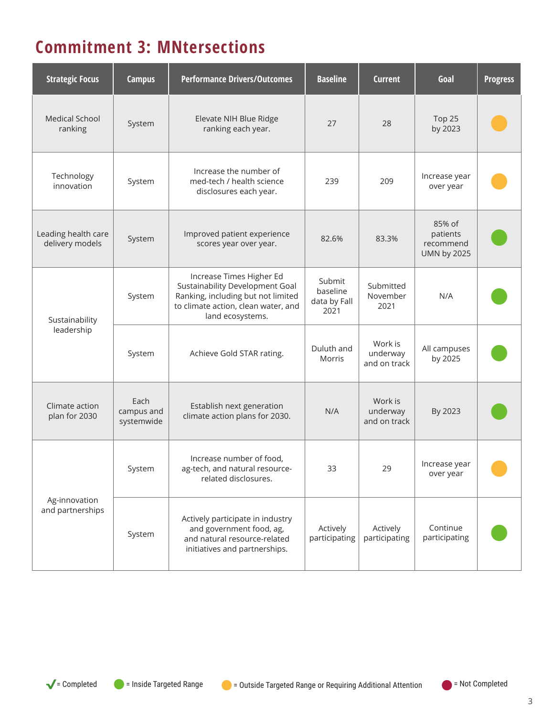### **Commitment 3: MNtersections**

| <b>Strategic Focus</b>                 | <b>Campus</b>                    | <b>Performance Drivers/Outcomes</b>                                                                                                                          | <b>Baseline</b>                            | <b>Current</b>                      | Goal                                                  | <b>Progress</b> |
|----------------------------------------|----------------------------------|--------------------------------------------------------------------------------------------------------------------------------------------------------------|--------------------------------------------|-------------------------------------|-------------------------------------------------------|-----------------|
| <b>Medical School</b><br>ranking       | System                           | Elevate NIH Blue Ridge<br>ranking each year.                                                                                                                 | 27                                         | 28                                  | Top 25<br>by 2023                                     |                 |
| Technology<br>innovation               | System                           | Increase the number of<br>med-tech / health science<br>disclosures each year.                                                                                | 239                                        | 209                                 | Increase year<br>over year                            |                 |
| Leading health care<br>delivery models | System                           | Improved patient experience<br>scores year over year.                                                                                                        | 82.6%                                      | 83.3%                               | 85% of<br>patients<br>recommend<br><b>UMN by 2025</b> |                 |
| Sustainability<br>leadership           | System                           | Increase Times Higher Ed<br>Sustainability Development Goal<br>Ranking, including but not limited<br>to climate action, clean water, and<br>land ecosystems. | Submit<br>baseline<br>data by Fall<br>2021 | Submitted<br>November<br>2021       | N/A                                                   |                 |
|                                        | System                           | Achieve Gold STAR rating.                                                                                                                                    | Duluth and<br>Morris                       | Work is<br>underway<br>and on track | All campuses<br>by 2025                               |                 |
| Climate action<br>plan for 2030        | Each<br>campus and<br>systemwide | Establish next generation<br>climate action plans for 2030.                                                                                                  | N/A                                        | Work is<br>underway<br>and on track | By 2023                                               |                 |
| Ag-innovation<br>and partnerships      | System                           | Increase number of food,<br>ag-tech, and natural resource-<br>related disclosures.                                                                           | 33                                         | 29                                  | Increase year<br>over year                            |                 |
|                                        | System                           | Actively participate in industry<br>and government food, ag,<br>and natural resource-related<br>initiatives and partnerships.                                | Actively<br>participating                  | Actively<br>participating           | Continue<br>participating                             |                 |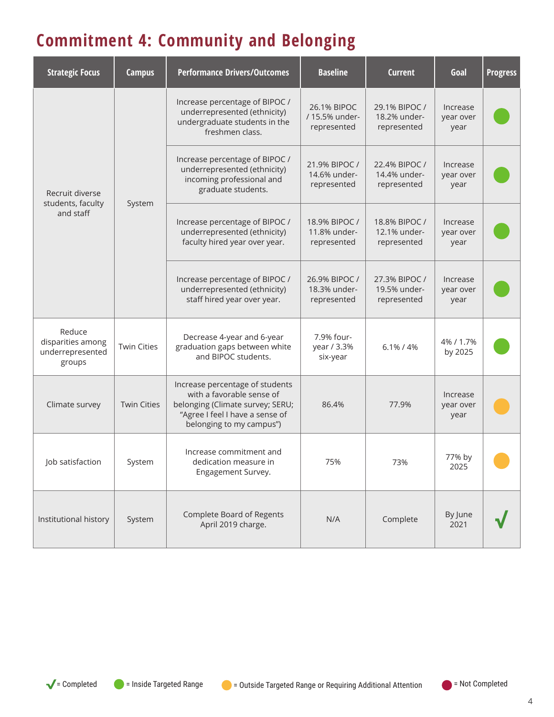## **Commitment 4: Community and Belonging**

| <b>Strategic Focus</b>                                    | <b>Campus</b>      | <b>Performance Drivers/Outcomes</b>                                                                                                                             | <b>Baseline</b>                              | <b>Current</b>                               | Goal                          | <b>Progress</b> |
|-----------------------------------------------------------|--------------------|-----------------------------------------------------------------------------------------------------------------------------------------------------------------|----------------------------------------------|----------------------------------------------|-------------------------------|-----------------|
| Recruit diverse                                           | System             | Increase percentage of BIPOC /<br>underrepresented (ethnicity)<br>undergraduate students in the<br>freshmen class.                                              | 26.1% BIPOC<br>/ 15.5% under-<br>represented | 29.1% BIPOC /<br>18.2% under-<br>represented | Increase<br>year over<br>year |                 |
|                                                           |                    | Increase percentage of BIPOC /<br>underrepresented (ethnicity)<br>incoming professional and<br>graduate students.                                               | 21.9% BIPOC /<br>14.6% under-<br>represented | 22.4% BIPOC /<br>14.4% under-<br>represented | Increase<br>year over<br>year |                 |
| students, faculty<br>and staff                            |                    | Increase percentage of BIPOC /<br>underrepresented (ethnicity)<br>faculty hired year over year.                                                                 | 18.9% BIPOC /<br>11.8% under-<br>represented | 18.8% BIPOC /<br>12.1% under-<br>represented | Increase<br>year over<br>year |                 |
|                                                           |                    | Increase percentage of BIPOC /<br>underrepresented (ethnicity)<br>staff hired year over year.                                                                   | 26.9% BIPOC /<br>18.3% under-<br>represented | 27.3% BIPOC /<br>19.5% under-<br>represented | Increase<br>year over<br>year |                 |
| Reduce<br>disparities among<br>underrepresented<br>groups | <b>Twin Cities</b> | Decrease 4-year and 6-year<br>graduation gaps between white<br>and BIPOC students.                                                                              | 7.9% four-<br>year / 3.3%<br>six-year        | 6.1% / 4%                                    | 4% / 1.7%<br>by 2025          |                 |
| Climate survey                                            | <b>Twin Cities</b> | Increase percentage of students<br>with a favorable sense of<br>belonging (Climate survey; SERU;<br>"Agree I feel I have a sense of<br>belonging to my campus") | 86.4%                                        | 77.9%                                        | Increase<br>year over<br>year |                 |
| Job satisfaction                                          | System             | Increase commitment and<br>dedication measure in<br>Engagement Survey.                                                                                          | 75%                                          | 73%                                          | 77% by<br>2025                |                 |
| Institutional history                                     | System             | Complete Board of Regents<br>April 2019 charge.                                                                                                                 | N/A                                          | Complete                                     | By June<br>2021               |                 |